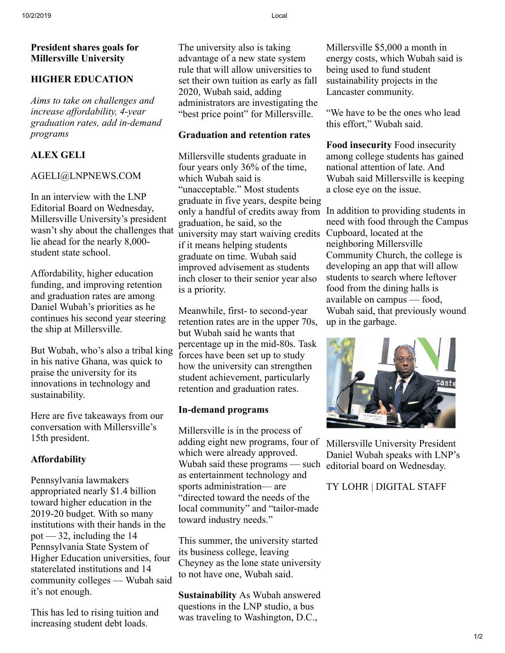## **President shares goals for Millersville University**

## **HIGHER EDUCATION**

*Aims to take on challenges and increase affordability, 4-year graduation rates, add in-demand programs*

# **ALEX GELI**

#### AGELI@LNPNEWS.COM

In an interview with the LNP Editorial Board on Wednesday, Millersville University's president wasn't shy about the challenges that lie ahead for the nearly 8,000 student state school.

Affordability, higher education funding, and improving retention and graduation rates are among Daniel Wubah's priorities as he continues his second year steering the ship at Millersville.

But Wubah, who's also a tribal king in his native Ghana, was quick to praise the university for its innovations in technology and sustainability.

Here are five takeaways from our conversation with Millersville's 15th president.

## **Affordability**

Pennsylvania lawmakers appropriated nearly \$1.4 billion toward higher education in the 2019-20 budget. With so many institutions with their hands in the pot  $-32$ , including the 14 Pennsylvania State System of Higher Education universities, four staterelated institutions and 14 community colleges — Wubah said it's not enough.

This has led to rising tuition and increasing student debt loads.

The university also is taking advantage of a new state system rule that will allow universities to set their own tuition as early as fall 2020, Wubah said, adding administrators are investigating the "best price point" for Millersville.

## **Graduation and retention rates**

Millersville students graduate in four years only 36% of the time, which Wubah said is "unacceptable." Most students graduate in five years, despite being only a handful of credits away from In addition to providing students in graduation, he said, so the university may start waiving credits if it means helping students graduate on time. Wubah said improved advisement as students inch closer to their senior year also is a priority.

Meanwhile, first- to second-year retention rates are in the upper 70s, but Wubah said he wants that percentage up in the mid-80s. Task forces have been set up to study how the university can strengthen student achievement, particularly retention and graduation rates.

## **In-demand programs**

Millersville is in the process of adding eight new programs, four of which were already approved. Wubah said these programs — such editorial board on Wednesday. as entertainment technology and sports administration— are "directed toward the needs of the local community" and "tailor-made toward industry needs."

This summer, the university started its business college, leaving Cheyney as the lone state university to not have one, Wubah said.

**Sustainability** As Wubah answered questions in the LNP studio, a bus was traveling to Washington, D.C.,

Millersville \$5,000 a month in energy costs, which Wubah said is being used to fund student sustainability projects in the Lancaster community.

"We have to be the ones who lead this effort," Wubah said.

**Food insecurity** Food insecurity among college students has gained national attention of late. And Wubah said Millersville is keeping a close eye on the issue.

need with food through the Campus Cupboard, located at the neighboring Millersville Community Church, the college is developing an app that will allow students to search where leftover food from the dining halls is available on campus — food, Wubah said, that previously wound up in the garbage.



Millersville University President Daniel Wubah speaks with LNP's

TY LOHR | DIGITAL STAFF